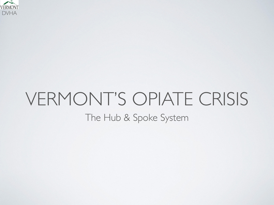

#### VERMONT'S OPIATE CRISIS The Hub & Spoke System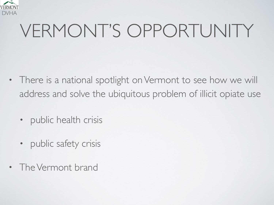

## VERMONT'S OPPORTUNITY

- There is a national spotlight on Vermont to see how we will address and solve the ubiquitous problem of illicit opiate use
	- public health crisis
	- public safety crisis
- The Vermont brand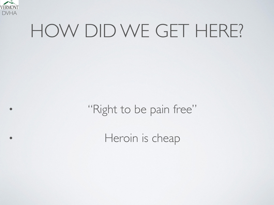

#### HOW DID WE GET HERE?

• "Right to be pain free"

• Heroin is cheap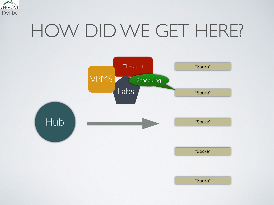

### HOW DID WE GET HERE?



"Spoke"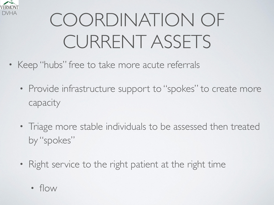

# COORDINATION OF CURRENT ASSETS

- Keep "hubs" free to take more acute referrals
	- Provide infrastructure support to "spokes" to create more capacity
	- Triage more stable individuals to be assessed then treated by "spokes"
	- Right service to the right patient at the right time
		- flow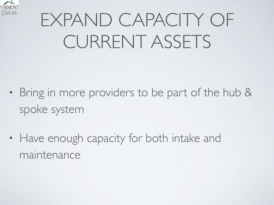

# EXPAND CAPACITY OF CURRENT ASSETS

- Bring in more providers to be part of the hub & spoke system
- Have enough capacity for both intake and maintenance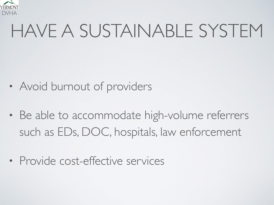

## HAVE A SUSTAINABLE SYSTEM

- Avoid burnout of providers
- Be able to accommodate high-volume referrers such as EDs, DOC, hospitals, law enforcement
- Provide cost-effective services